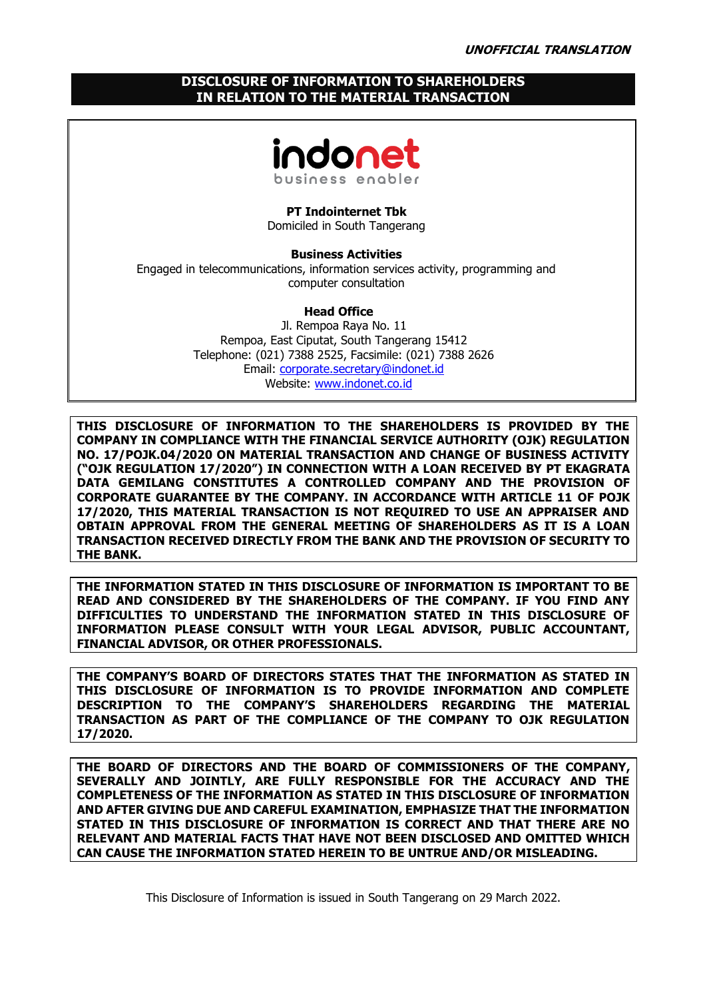# **DISCLOSURE OF INFORMATION TO SHAREHOLDERS IN RELATION TO THE MATERIAL TRANSACTION**



**PT Indointernet Tbk** Domiciled in South Tangerang

**Business Activities** Engaged in telecommunications, information services activity, programming and computer consultation

## **Head Office**

Jl. Rempoa Raya No. 11 Rempoa, East Ciputat, South Tangerang 15412 Telephone: (021) 7388 2525, Facsimile: (021) 7388 2626 Email: [corporate.secretary@indonet.id](mailto:corporate.secretary@indonet.id) Website: [www.indonet.co.id](http://www.indonet.co.id/)

**THIS DISCLOSURE OF INFORMATION TO THE SHAREHOLDERS IS PROVIDED BY THE COMPANY IN COMPLIANCE WITH THE FINANCIAL SERVICE AUTHORITY (OJK) REGULATION NO. 17/POJK.04/2020 ON MATERIAL TRANSACTION AND CHANGE OF BUSINESS ACTIVITY ("OJK REGULATION 17/2020") IN CONNECTION WITH A LOAN RECEIVED BY PT EKAGRATA DATA GEMILANG CONSTITUTES A CONTROLLED COMPANY AND THE PROVISION OF CORPORATE GUARANTEE BY THE COMPANY. IN ACCORDANCE WITH ARTICLE 11 OF POJK 17/2020, THIS MATERIAL TRANSACTION IS NOT REQUIRED TO USE AN APPRAISER AND OBTAIN APPROVAL FROM THE GENERAL MEETING OF SHAREHOLDERS AS IT IS A LOAN TRANSACTION RECEIVED DIRECTLY FROM THE BANK AND THE PROVISION OF SECURITY TO THE BANK.**

**THE INFORMATION STATED IN THIS DISCLOSURE OF INFORMATION IS IMPORTANT TO BE READ AND CONSIDERED BY THE SHAREHOLDERS OF THE COMPANY. IF YOU FIND ANY DIFFICULTIES TO UNDERSTAND THE INFORMATION STATED IN THIS DISCLOSURE OF INFORMATION PLEASE CONSULT WITH YOUR LEGAL ADVISOR, PUBLIC ACCOUNTANT, FINANCIAL ADVISOR, OR OTHER PROFESSIONALS.**

**THE COMPANY'S BOARD OF DIRECTORS STATES THAT THE INFORMATION AS STATED IN THIS DISCLOSURE OF INFORMATION IS TO PROVIDE INFORMATION AND COMPLETE DESCRIPTION TO THE COMPANY'S SHAREHOLDERS REGARDING THE MATERIAL TRANSACTION AS PART OF THE COMPLIANCE OF THE COMPANY TO OJK REGULATION 17/2020.**

**THE BOARD OF DIRECTORS AND THE BOARD OF COMMISSIONERS OF THE COMPANY, SEVERALLY AND JOINTLY, ARE FULLY RESPONSIBLE FOR THE ACCURACY AND THE COMPLETENESS OF THE INFORMATION AS STATED IN THIS DISCLOSURE OF INFORMATION AND AFTER GIVING DUE AND CAREFUL EXAMINATION, EMPHASIZE THAT THE INFORMATION STATED IN THIS DISCLOSURE OF INFORMATION IS CORRECT AND THAT THERE ARE NO RELEVANT AND MATERIAL FACTS THAT HAVE NOT BEEN DISCLOSED AND OMITTED WHICH CAN CAUSE THE INFORMATION STATED HEREIN TO BE UNTRUE AND/OR MISLEADING.**

This Disclosure of Information is issued in South Tangerang on 29 March 2022.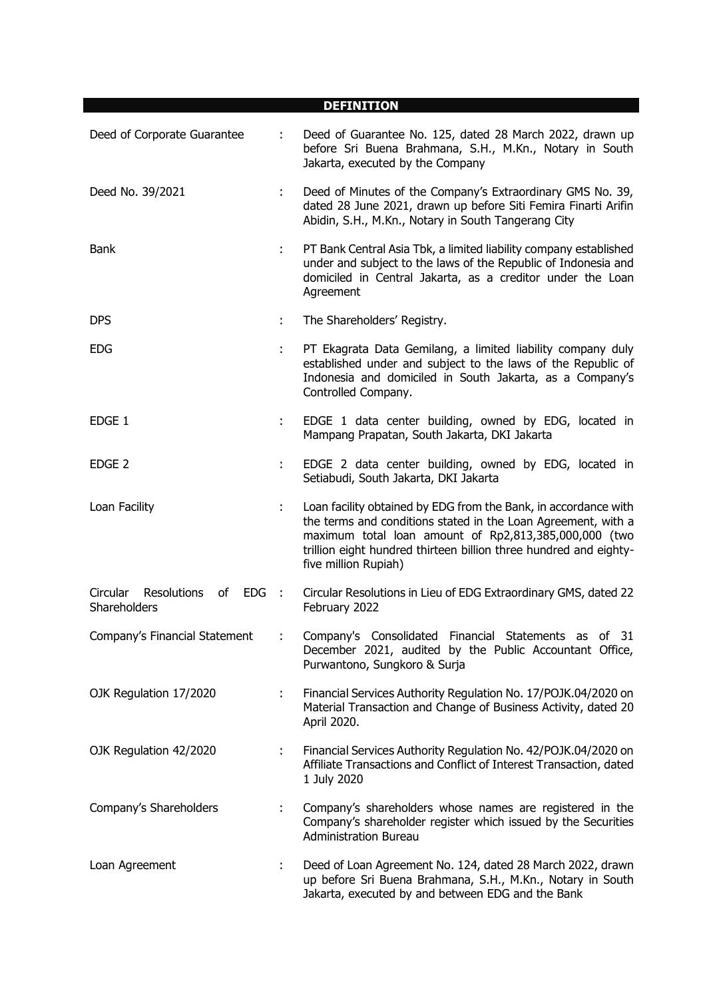|                                                                 |    | <b>DEFINITION</b>                                                                                                                                                                                                                                                                      |
|-----------------------------------------------------------------|----|----------------------------------------------------------------------------------------------------------------------------------------------------------------------------------------------------------------------------------------------------------------------------------------|
| Deed of Corporate Guarantee                                     |    | Deed of Guarantee No. 125, dated 28 March 2022, drawn up<br>before Sri Buena Brahmana, S.H., M.Kn., Notary in South<br>Jakarta, executed by the Company                                                                                                                                |
| Deed No. 39/2021                                                |    | Deed of Minutes of the Company's Extraordinary GMS No. 39,<br>dated 28 June 2021, drawn up before Siti Femira Finarti Arifin<br>Abidin, S.H., M.Kn., Notary in South Tangerang City                                                                                                    |
| Bank                                                            |    | PT Bank Central Asia Tbk, a limited liability company established<br>under and subject to the laws of the Republic of Indonesia and<br>domiciled in Central Jakarta, as a creditor under the Loan<br>Agreement                                                                         |
| <b>DPS</b>                                                      | ÷. | The Shareholders' Registry.                                                                                                                                                                                                                                                            |
| <b>EDG</b>                                                      | ÷. | PT Ekagrata Data Gemilang, a limited liability company duly<br>established under and subject to the laws of the Republic of<br>Indonesia and domiciled in South Jakarta, as a Company's<br>Controlled Company.                                                                         |
| EDGE 1                                                          |    | EDGE 1 data center building, owned by EDG, located in<br>Mampang Prapatan, South Jakarta, DKI Jakarta                                                                                                                                                                                  |
| EDGE <sub>2</sub>                                               |    | EDGE 2 data center building, owned by EDG, located in<br>Setiabudi, South Jakarta, DKI Jakarta                                                                                                                                                                                         |
| Loan Facility                                                   | ÷. | Loan facility obtained by EDG from the Bank, in accordance with<br>the terms and conditions stated in the Loan Agreement, with a<br>maximum total loan amount of Rp2,813,385,000,000 (two<br>trillion eight hundred thirteen billion three hundred and eighty-<br>five million Rupiah) |
| <b>Circular</b><br>Resolutions<br>of<br>$EDG$ :<br>Shareholders |    | Circular Resolutions in Lieu of EDG Extraordinary GMS, dated 22<br>February 2022                                                                                                                                                                                                       |
| Company's Financial Statement                                   |    | Company's Consolidated Financial Statements as of 31<br>December 2021, audited by the Public Accountant Office,<br>Purwantono, Sungkoro & Surja                                                                                                                                        |
| OJK Regulation 17/2020                                          |    | Financial Services Authority Regulation No. 17/POJK.04/2020 on<br>Material Transaction and Change of Business Activity, dated 20<br>April 2020.                                                                                                                                        |
| OJK Regulation 42/2020                                          | ÷. | Financial Services Authority Regulation No. 42/POJK.04/2020 on<br>Affiliate Transactions and Conflict of Interest Transaction, dated<br>1 July 2020                                                                                                                                    |
| Company's Shareholders                                          | ÷  | Company's shareholders whose names are registered in the<br>Company's shareholder register which issued by the Securities<br><b>Administration Bureau</b>                                                                                                                              |
| Loan Agreement                                                  | t. | Deed of Loan Agreement No. 124, dated 28 March 2022, drawn<br>up before Sri Buena Brahmana, S.H., M.Kn., Notary in South<br>Jakarta, executed by and between EDG and the Bank                                                                                                          |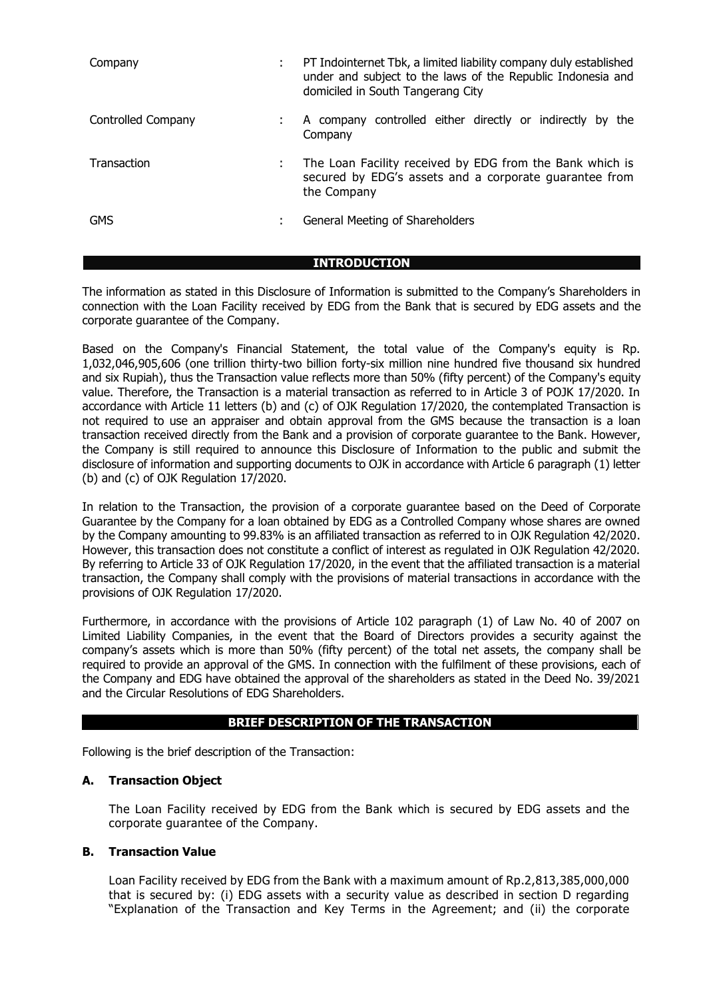| Company            | PT Indointernet Tbk, a limited liability company duly established<br>under and subject to the laws of the Republic Indonesia and<br>domiciled in South Tangerang City |  |  |
|--------------------|-----------------------------------------------------------------------------------------------------------------------------------------------------------------------|--|--|
| Controlled Company | A company controlled either directly or indirectly by the<br>Company                                                                                                  |  |  |
| Transaction        | The Loan Facility received by EDG from the Bank which is<br>secured by EDG's assets and a corporate guarantee from<br>the Company                                     |  |  |
| <b>GMS</b>         | General Meeting of Shareholders                                                                                                                                       |  |  |

**INTRODUCTION**

The information as stated in this Disclosure of Information is submitted to the Company's Shareholders in connection with the Loan Facility received by EDG from the Bank that is secured by EDG assets and the corporate guarantee of the Company.

Based on the Company's Financial Statement, the total value of the Company's equity is Rp. 1,032,046,905,606 (one trillion thirty-two billion forty-six million nine hundred five thousand six hundred and six Rupiah), thus the Transaction value reflects more than 50% (fifty percent) of the Company's equity value. Therefore, the Transaction is a material transaction as referred to in Article 3 of POJK 17/2020. In accordance with Article 11 letters (b) and (c) of OJK Regulation 17/2020, the contemplated Transaction is not required to use an appraiser and obtain approval from the GMS because the transaction is a loan transaction received directly from the Bank and a provision of corporate guarantee to the Bank. However, the Company is still required to announce this Disclosure of Information to the public and submit the disclosure of information and supporting documents to OJK in accordance with Article 6 paragraph (1) letter (b) and (c) of OJK Regulation 17/2020.

In relation to the Transaction, the provision of a corporate guarantee based on the Deed of Corporate Guarantee by the Company for a loan obtained by EDG as a Controlled Company whose shares are owned by the Company amounting to 99.83% is an affiliated transaction as referred to in OJK Regulation 42/2020. However, this transaction does not constitute a conflict of interest as regulated in OJK Regulation 42/2020. By referring to Article 33 of OJK Regulation 17/2020, in the event that the affiliated transaction is a material transaction, the Company shall comply with the provisions of material transactions in accordance with the provisions of OJK Regulation 17/2020.

Furthermore, in accordance with the provisions of Article 102 paragraph (1) of Law No. 40 of 2007 on Limited Liability Companies, in the event that the Board of Directors provides a security against the company's assets which is more than 50% (fifty percent) of the total net assets, the company shall be required to provide an approval of the GMS. In connection with the fulfilment of these provisions, each of the Company and EDG have obtained the approval of the shareholders as stated in the Deed No. 39/2021 and the Circular Resolutions of EDG Shareholders.

# **BRIEF DESCRIPTION OF THE TRANSACTION**

Following is the brief description of the Transaction:

# **A. Transaction Object**

The Loan Facility received by EDG from the Bank which is secured by EDG assets and the corporate guarantee of the Company.

### **B. Transaction Value**

Loan Facility received by EDG from the Bank with a maximum amount of Rp.2,813,385,000,000 that is secured by: (i) EDG assets with a security value as described in section D regarding "Explanation of the Transaction and Key Terms in the Agreement; and (ii) the corporate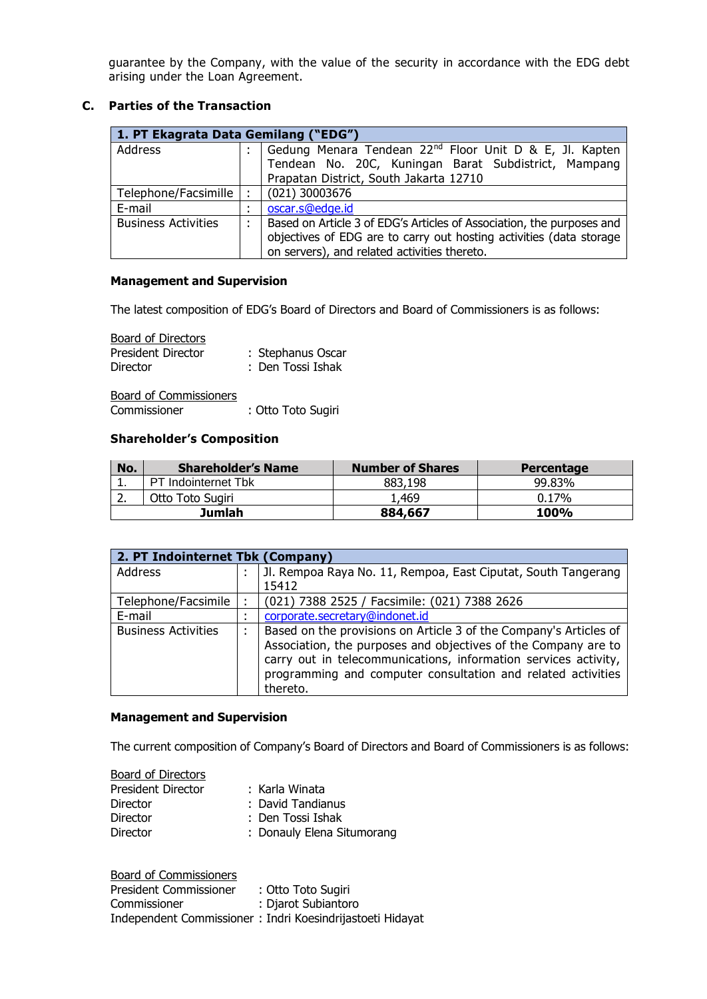guarantee by the Company, with the value of the security in accordance with the EDG debt arising under the Loan Agreement.

# **C. Parties of the Transaction**

| 1. PT Ekagrata Data Gemilang ("EDG") |                     |                                                                       |  |  |
|--------------------------------------|---------------------|-----------------------------------------------------------------------|--|--|
| Address                              | ٠                   | Gedung Menara Tendean 22 <sup>nd</sup> Floor Unit D & E, Jl. Kapten   |  |  |
|                                      |                     | Tendean No. 20C, Kuningan Barat Subdistrict, Mampang                  |  |  |
|                                      |                     | Prapatan District, South Jakarta 12710                                |  |  |
| Telephone/Facsimille                 | ٠                   | (021) 30003676                                                        |  |  |
| E-mail                               | ٠<br>$\blacksquare$ | oscar.s@edge.id                                                       |  |  |
| <b>Business Activities</b>           |                     | Based on Article 3 of EDG's Articles of Association, the purposes and |  |  |
|                                      |                     | objectives of EDG are to carry out hosting activities (data storage   |  |  |
|                                      |                     | on servers), and related activities thereto.                          |  |  |

### **Management and Supervision**

The latest composition of EDG's Board of Directors and Board of Commissioners is as follows:

Board of Directors

| --------------            |                   |
|---------------------------|-------------------|
| <b>President Director</b> | : Stephanus Oscar |
| <b>Director</b>           | : Den Tossi Ishak |

Board of Commissioners Commissioner : Otto Toto Sugiri

# **Shareholder's Composition**

| No.      | <b>Shareholder's Name</b> | <b>Number of Shares</b> | <b>Percentage</b> |
|----------|---------------------------|-------------------------|-------------------|
| . .      | PT Indointernet Tbk       | 883,198                 | 99.83%            |
| <u>.</u> | Otto Toto Sugiri          | 469،ء                   | $0.17\%$          |
|          | Jumlah                    | 884,667                 | <b>100%</b>       |

|                            | 2. PT Indointernet Tbk (Company) |                                                                                                                                 |  |  |  |
|----------------------------|----------------------------------|---------------------------------------------------------------------------------------------------------------------------------|--|--|--|
| Address                    |                                  | Jl. Rempoa Raya No. 11, Rempoa, East Ciputat, South Tangerang                                                                   |  |  |  |
|                            |                                  | 15412                                                                                                                           |  |  |  |
| Telephone/Facsimile        |                                  | (021) 7388 2525 / Facsimile: (021) 7388 2626                                                                                    |  |  |  |
| E-mail                     |                                  | corporate.secretary@indonet.id                                                                                                  |  |  |  |
| <b>Business Activities</b> |                                  | Based on the provisions on Article 3 of the Company's Articles of                                                               |  |  |  |
|                            |                                  | Association, the purposes and objectives of the Company are to                                                                  |  |  |  |
|                            |                                  | carry out in telecommunications, information services activity,<br>programming and computer consultation and related activities |  |  |  |
|                            |                                  | thereto.                                                                                                                        |  |  |  |

#### **Management and Supervision**

The current composition of Company's Board of Directors and Board of Commissioners is as follows:

| <b>Board of Directors</b> |                            |
|---------------------------|----------------------------|
| President Director        | : Karla Winata             |
| Director                  | : David Tandianus          |
| Director                  | : Den Tossi Ishak          |
| <b>Director</b>           | : Donauly Elena Situmorang |
|                           |                            |

| Board of Commissioners |                                                           |
|------------------------|-----------------------------------------------------------|
| President Commissioner | : Otto Toto Sugiri                                        |
| Commissioner           | : Djarot Subiantoro                                       |
|                        | Independent Commissioner: Indri Koesindrijastoeti Hidayat |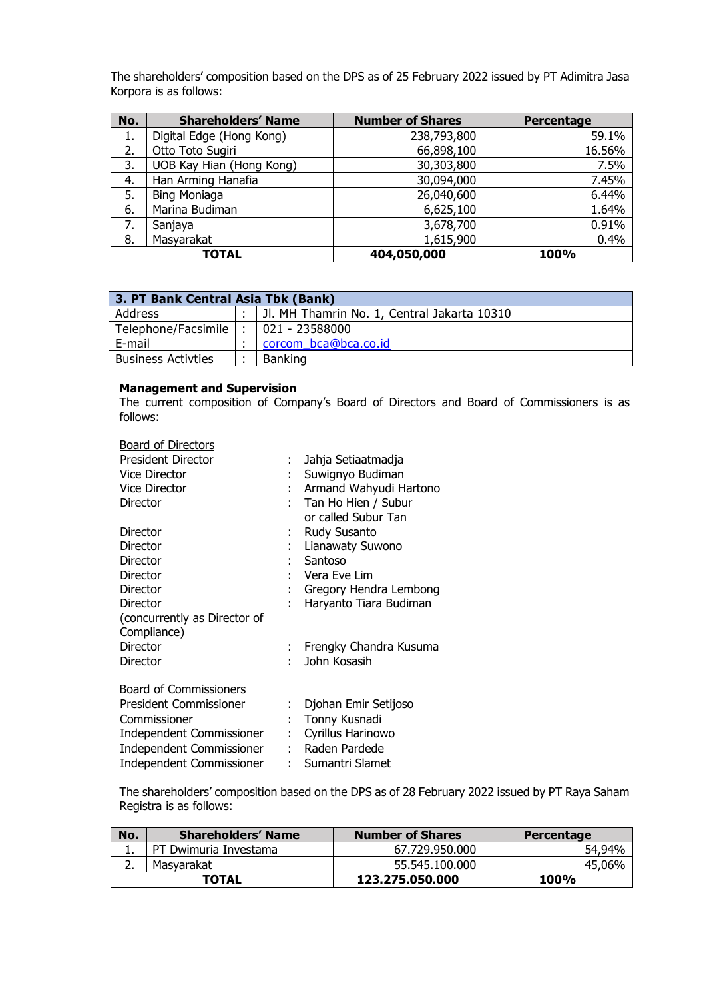The shareholders' composition based on the DPS as of 25 February 2022 issued by PT Adimitra Jasa Korpora is as follows:

| No. | <b>Shareholders' Name</b> | <b>Number of Shares</b> | Percentage |
|-----|---------------------------|-------------------------|------------|
| 1.  | Digital Edge (Hong Kong)  | 238,793,800             | 59.1%      |
| 2.  | Otto Toto Sugiri          | 66,898,100              | 16.56%     |
| 3.  | UOB Kay Hian (Hong Kong)  | 30,303,800              | 7.5%       |
| 4.  | Han Arming Hanafia        | 30,094,000              | 7.45%      |
| 5.  | <b>Bing Moniaga</b>       | 26,040,600              | 6.44%      |
| 6.  | Marina Budiman            | 6,625,100               | 1.64%      |
| 7.  | Sanjaya                   | 3,678,700               | 0.91%      |
| 8.  | Masyarakat                | 1,615,900               | 0.4%       |
|     | TOTAL                     | 404,050,000             | 100%       |

| 3. PT Bank Central Asia Tbk (Bank) |  |                                             |  |
|------------------------------------|--|---------------------------------------------|--|
| Address                            |  | JI. MH Thamrin No. 1, Central Jakarta 10310 |  |
| Telephone/Facsimile                |  | 021 - 23588000                              |  |
| E-mail                             |  | corcom bca@bca.co.id                        |  |
| <b>Business Activties</b>          |  | <b>Banking</b>                              |  |

#### **Management and Supervision**

The current composition of Company's Board of Directors and Board of Commissioners is as follows:

| <b>Board of Directors</b>     |    |                          |
|-------------------------------|----|--------------------------|
| <b>President Director</b>     | ÷  | Jahja Setiaatmadja       |
| <b>Vice Director</b>          |    | Suwignyo Budiman         |
| <b>Vice Director</b>          |    | Armand Wahyudi Hartono   |
| Director                      |    | Tan Ho Hien / Subur      |
|                               |    | or called Subur Tan      |
| Director                      |    | Rudy Susanto             |
| Director                      |    | Lianawaty Suwono         |
| Director                      |    | Santoso                  |
| Director                      |    | Vera Eve Lim             |
| Director                      |    | Gregory Hendra Lembong   |
| Director                      |    | Haryanto Tiara Budiman   |
| (concurrently as Director of  |    |                          |
| Compliance)                   |    |                          |
| Director                      |    | : Frengky Chandra Kusuma |
| Director                      |    | John Kosasih             |
| <b>Board of Commissioners</b> |    |                          |
| <b>President Commissioner</b> |    |                          |
|                               | ÷. | Djohan Emir Setijoso     |
| Commissioner                  |    | Tonny Kusnadi            |
| Independent Commissioner      | t. | Cyrillus Harinowo        |
| Independent Commissioner      |    | : Raden Pardede          |
| Independent Commissioner      |    | : Sumantri Slamet        |

The shareholders' composition based on the DPS as of 28 February 2022 issued by PT Raya Saham Registra is as follows:

| No.      | <b>Shareholders' Name</b> | <b>Number of Shares</b> | Percentage  |
|----------|---------------------------|-------------------------|-------------|
|          | PT Dwimuria Investama     | 67.729.950.000          | 54,94%      |
| <u>.</u> | Masvarakat                | 55.545.100.000          | 45,06%      |
|          | <b>TOTAL</b>              | 123.275.050.000         | <b>100%</b> |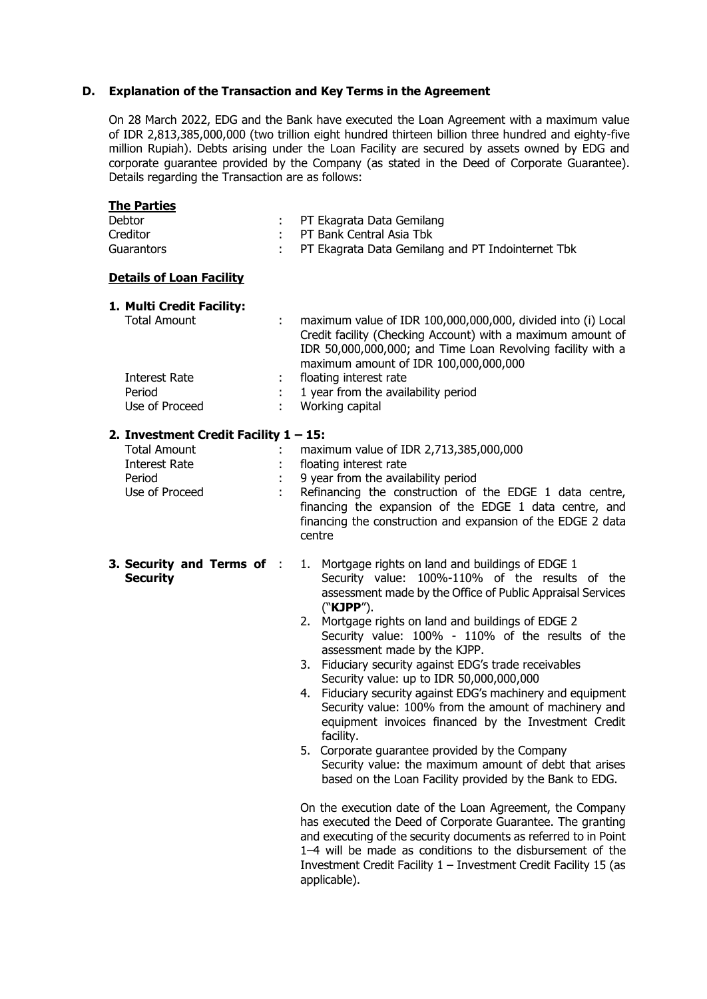### **D. Explanation of the Transaction and Key Terms in the Agreement**

On 28 March 2022, EDG and the Bank have executed the Loan Agreement with a maximum value of IDR 2,813,385,000,000 (two trillion eight hundred thirteen billion three hundred and eighty-five million Rupiah). Debts arising under the Loan Facility are secured by assets owned by EDG and corporate guarantee provided by the Company (as stated in the Deed of Corporate Guarantee). Details regarding the Transaction are as follows:

| <u>The Parties</u>                                                                                           |                                       |                                                                                                                                                                                                                                                                                                                                                                                                                                                                                                                                                                                                                                                                                                                                                                                                                                                                                                                                                                                                                                                                                                                                      |
|--------------------------------------------------------------------------------------------------------------|---------------------------------------|--------------------------------------------------------------------------------------------------------------------------------------------------------------------------------------------------------------------------------------------------------------------------------------------------------------------------------------------------------------------------------------------------------------------------------------------------------------------------------------------------------------------------------------------------------------------------------------------------------------------------------------------------------------------------------------------------------------------------------------------------------------------------------------------------------------------------------------------------------------------------------------------------------------------------------------------------------------------------------------------------------------------------------------------------------------------------------------------------------------------------------------|
| Debtor<br>Creditor<br>Guarantors                                                                             |                                       | PT Ekagrata Data Gemilang<br>PT Bank Central Asia Tbk<br>PT Ekagrata Data Gemilang and PT Indointernet Tbk                                                                                                                                                                                                                                                                                                                                                                                                                                                                                                                                                                                                                                                                                                                                                                                                                                                                                                                                                                                                                           |
| <b>Details of Loan Facility</b>                                                                              |                                       |                                                                                                                                                                                                                                                                                                                                                                                                                                                                                                                                                                                                                                                                                                                                                                                                                                                                                                                                                                                                                                                                                                                                      |
| 1. Multi Credit Facility:<br><b>Total Amount</b><br>Interest Rate<br>Period<br>Use of Proceed                | ÷<br>÷.<br>$\mathcal{L}^{\text{max}}$ | maximum value of IDR 100,000,000,000, divided into (i) Local<br>Credit facility (Checking Account) with a maximum amount of<br>IDR 50,000,000,000; and Time Loan Revolving facility with a<br>maximum amount of IDR 100,000,000,000<br>floating interest rate<br>1 year from the availability period<br>Working capital                                                                                                                                                                                                                                                                                                                                                                                                                                                                                                                                                                                                                                                                                                                                                                                                              |
| 2. Investment Credit Facility $1 - 15$ :<br><b>Total Amount</b><br>Interest Rate<br>Period<br>Use of Proceed | ÷.                                    | maximum value of IDR 2,713,385,000,000<br>floating interest rate<br>9 year from the availability period<br>Refinancing the construction of the EDGE 1 data centre,<br>financing the expansion of the EDGE 1 data centre, and<br>financing the construction and expansion of the EDGE 2 data<br>centre                                                                                                                                                                                                                                                                                                                                                                                                                                                                                                                                                                                                                                                                                                                                                                                                                                |
| 3. Security and Terms of :<br><b>Security</b>                                                                |                                       | 1. Mortgage rights on land and buildings of EDGE 1<br>Security value: 100%-110% of the results of the<br>assessment made by the Office of Public Appraisal Services<br>("KJPP").<br>2. Mortgage rights on land and buildings of EDGE 2<br>Security value: 100% - 110% of the results of the<br>assessment made by the KJPP.<br>3. Fiduciary security against EDG's trade receivables<br>Security value: up to IDR 50,000,000,000<br>4. Fiduciary security against EDG's machinery and equipment<br>Security value: 100% from the amount of machinery and<br>equipment invoices financed by the Investment Credit<br>facility.<br>5. Corporate guarantee provided by the Company<br>Security value: the maximum amount of debt that arises<br>based on the Loan Facility provided by the Bank to EDG.<br>On the execution date of the Loan Agreement, the Company<br>has executed the Deed of Corporate Guarantee. The granting<br>and executing of the security documents as referred to in Point<br>1-4 will be made as conditions to the disbursement of the<br>Investment Credit Facility $1 -$ Investment Credit Facility 15 (as |

applicable).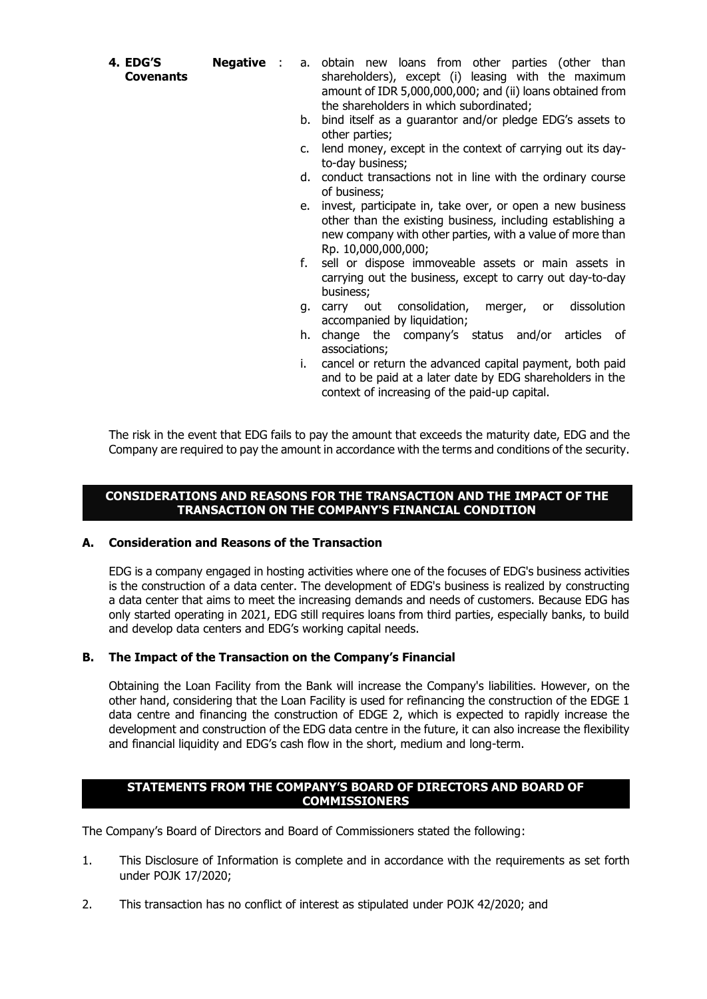**4. EDG'S Negative** 

- **Covenants**
- a. obtain new loans from other parties (other than shareholders), except (i) leasing with the maximum amount of IDR 5,000,000,000; and (ii) loans obtained from the shareholders in which subordinated;
	- b. bind itself as a guarantor and/or pledge EDG's assets to other parties;
	- c. lend money, except in the context of carrying out its dayto-day business;
	- d. conduct transactions not in line with the ordinary course of business;
	- e. invest, participate in, take over, or open a new business other than the existing business, including establishing a new company with other parties, with a value of more than Rp. 10,000,000,000;
	- f. sell or dispose immoveable assets or main assets in carrying out the business, except to carry out day-to-day business;
	- g. carry out consolidation, merger, or dissolution accompanied by liquidation;
	- h. change the company's status and/or articles of associations;
	- i. cancel or return the advanced capital payment, both paid and to be paid at a later date by EDG shareholders in the context of increasing of the paid-up capital.

The risk in the event that EDG fails to pay the amount that exceeds the maturity date, EDG and the Company are required to pay the amount in accordance with the terms and conditions of the security.

### **CONSIDERATIONS AND REASONS FOR THE TRANSACTION AND THE IMPACT OF THE TRANSACTION ON THE COMPANY'S FINANCIAL CONDITION**

# **A. Consideration and Reasons of the Transaction**

EDG is a company engaged in hosting activities where one of the focuses of EDG's business activities is the construction of a data center. The development of EDG's business is realized by constructing a data center that aims to meet the increasing demands and needs of customers. Because EDG has only started operating in 2021, EDG still requires loans from third parties, especially banks, to build and develop data centers and EDG's working capital needs.

### **B. The Impact of the Transaction on the Company's Financial**

Obtaining the Loan Facility from the Bank will increase the Company's liabilities. However, on the other hand, considering that the Loan Facility is used for refinancing the construction of the EDGE 1 data centre and financing the construction of EDGE 2, which is expected to rapidly increase the development and construction of the EDG data centre in the future, it can also increase the flexibility and financial liquidity and EDG's cash flow in the short, medium and long-term.

### **STATEMENTS FROM THE COMPANY'S BOARD OF DIRECTORS AND BOARD OF COMMISSIONERS**

The Company's Board of Directors and Board of Commissioners stated the following:

- 1. This Disclosure of Information is complete and in accordance with the requirements as set forth under POJK 17/2020;
- 2. This transaction has no conflict of interest as stipulated under POJK 42/2020; and